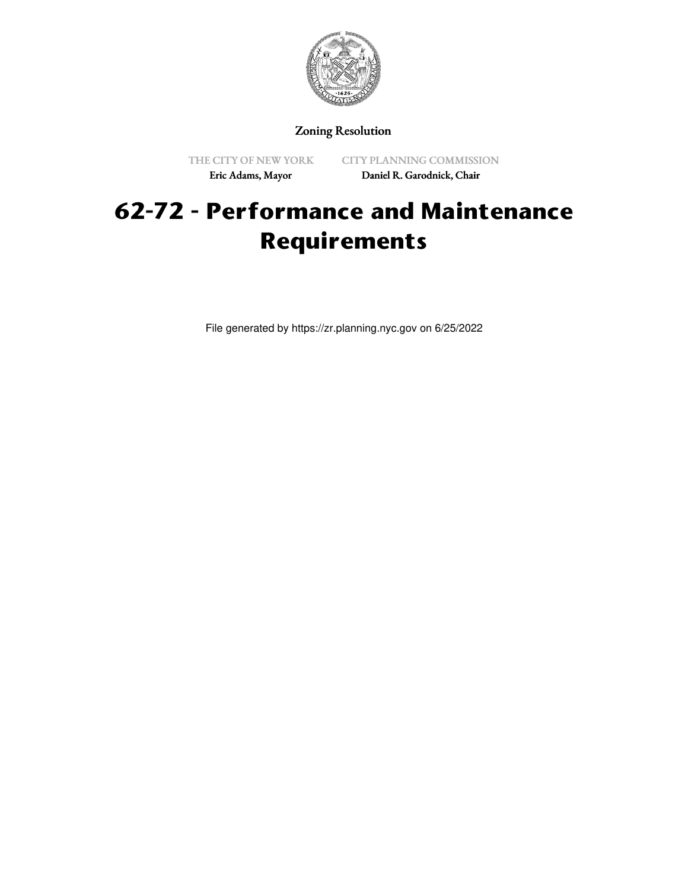

## Zoning Resolution

THE CITY OF NEW YORK Eric Adams, Mayor

CITY PLANNING COMMISSION Daniel R. Garodnick, Chair

## **62-72 - Performance and Maintenance Requirements**

File generated by https://zr.planning.nyc.gov on 6/25/2022